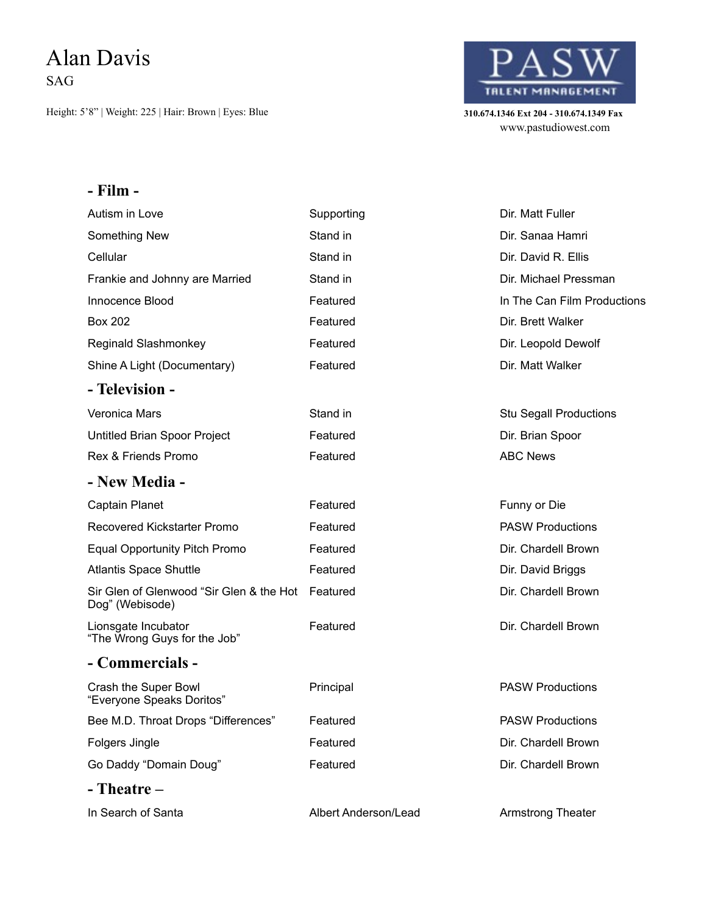## Alan Davis SAG

Height: 5'8" | Weight: 225 | Hair: Brown | Eyes: Blue **310.674.1346 Ext 204 - 310.674.1349 Fax** 



www.pastudiowest.com

## **- Film -**

| Autism in Love                                              | Supporting           | Dir. Matt Fuller              |
|-------------------------------------------------------------|----------------------|-------------------------------|
| Something New                                               | Stand in             | Dir. Sanaa Hamri              |
| Cellular                                                    | Stand in             | Dir. David R. Ellis           |
| Frankie and Johnny are Married                              | Stand in             | Dir. Michael Pressman         |
| Innocence Blood                                             | Featured             | In The Can Film Productions   |
| <b>Box 202</b>                                              | Featured             | Dir. Brett Walker             |
| Reginald Slashmonkey                                        | Featured             | Dir. Leopold Dewolf           |
| Shine A Light (Documentary)                                 | Featured             | Dir. Matt Walker              |
| - Television -                                              |                      |                               |
| Veronica Mars                                               | Stand in             | <b>Stu Segall Productions</b> |
| Untitled Brian Spoor Project                                | Featured             | Dir. Brian Spoor              |
| Rex & Friends Promo                                         | Featured             | <b>ABC News</b>               |
| - New Media -                                               |                      |                               |
| Captain Planet                                              | Featured             | Funny or Die                  |
| Recovered Kickstarter Promo                                 | Featured             | <b>PASW Productions</b>       |
| <b>Equal Opportunity Pitch Promo</b>                        | Featured             | Dir. Chardell Brown           |
| <b>Atlantis Space Shuttle</b>                               | Featured             | Dir. David Briggs             |
| Sir Glen of Glenwood "Sir Glen & the Hot<br>Dog" (Webisode) | Featured             | Dir. Chardell Brown           |
| Lionsgate Incubator<br>"The Wrong Guys for the Job"         | Featured             | Dir. Chardell Brown           |
| - Commercials -                                             |                      |                               |
| Crash the Super Bowl<br>"Everyone Speaks Doritos"           | Principal            | <b>PASW Productions</b>       |
| Bee M.D. Throat Drops "Differences"                         | Featured             | <b>PASW Productions</b>       |
| Folgers Jingle                                              | Featured             | Dir. Chardell Brown           |
| Go Daddy "Domain Doug"                                      | Featured             | Dir. Chardell Brown           |
| - Theatre -                                                 |                      |                               |
| In Search of Santa                                          | Albert Anderson/Lead | <b>Armstrong Theater</b>      |
|                                                             |                      |                               |